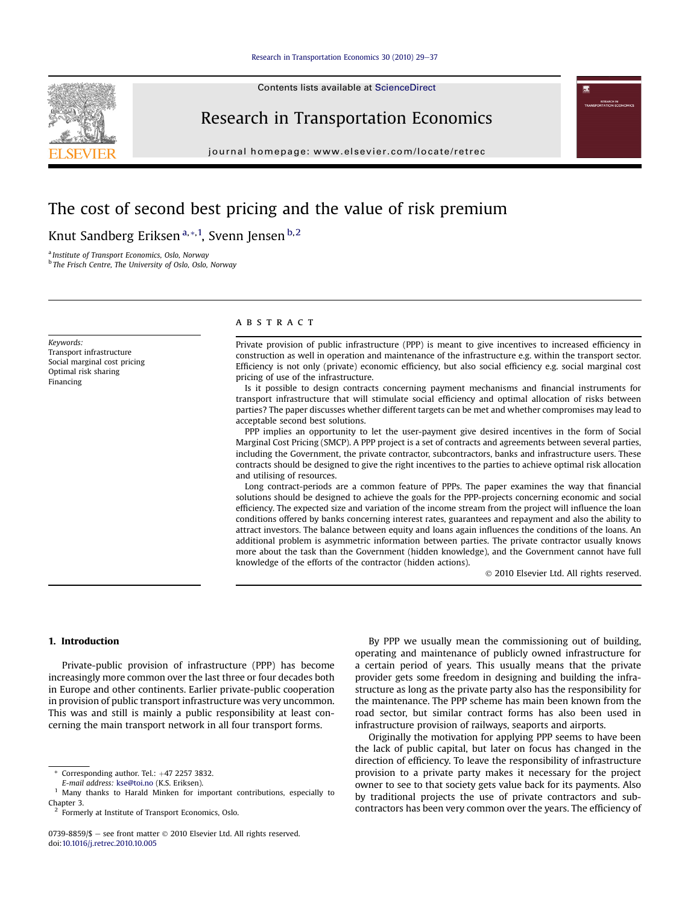Contents lists available at ScienceDirect

### Research in Transportation Economics

journal homepage: [www.elsevier.com/locate/retrec](http://www.elsevier.com/locate/retrec)

## The cost of second best pricing and the value of risk premium

Knut Sandberg Eriksen<sup>a,</sup>\*,<sup>1</sup>, Svenn Jensen<sup>b,2</sup>

<sup>a</sup> Institute of Transport Economics, Oslo, Norway

<sup>b</sup> The Frisch Centre, The University of Oslo, Oslo, Norway

Keywords: Transport infrastructure Social marginal cost pricing Optimal risk sharing Financing

#### ABSTRACT

Private provision of public infrastructure (PPP) is meant to give incentives to increased efficiency in construction as well in operation and maintenance of the infrastructure e.g. within the transport sector. Efficiency is not only (private) economic efficiency, but also social efficiency e.g. social marginal cost pricing of use of the infrastructure.

Is it possible to design contracts concerning payment mechanisms and financial instruments for transport infrastructure that will stimulate social efficiency and optimal allocation of risks between parties? The paper discusses whether different targets can be met and whether compromises may lead to acceptable second best solutions.

PPP implies an opportunity to let the user-payment give desired incentives in the form of Social Marginal Cost Pricing (SMCP). A PPP project is a set of contracts and agreements between several parties, including the Government, the private contractor, subcontractors, banks and infrastructure users. These contracts should be designed to give the right incentives to the parties to achieve optimal risk allocation and utilising of resources.

Long contract-periods are a common feature of PPPs. The paper examines the way that financial solutions should be designed to achieve the goals for the PPP-projects concerning economic and social efficiency. The expected size and variation of the income stream from the project will influence the loan conditions offered by banks concerning interest rates, guarantees and repayment and also the ability to attract investors. The balance between equity and loans again influences the conditions of the loans. An additional problem is asymmetric information between parties. The private contractor usually knows more about the task than the Government (hidden knowledge), and the Government cannot have full knowledge of the efforts of the contractor (hidden actions).

2010 Elsevier Ltd. All rights reserved.

#### 1. Introduction

Private-public provision of infrastructure (PPP) has become increasingly more common over the last three or four decades both in Europe and other continents. Earlier private-public cooperation in provision of public transport infrastructure was very uncommon. This was and still is mainly a public responsibility at least concerning the main transport network in all four transport forms.

By PPP we usually mean the commissioning out of building, operating and maintenance of publicly owned infrastructure for a certain period of years. This usually means that the private provider gets some freedom in designing and building the infrastructure as long as the private party also has the responsibility for the maintenance. The PPP scheme has main been known from the road sector, but similar contract forms has also been used in infrastructure provision of railways, seaports and airports.

Originally the motivation for applying PPP seems to have been the lack of public capital, but later on focus has changed in the direction of efficiency. To leave the responsibility of infrastructure provision to a private party makes it necessary for the project owner to see to that society gets value back for its payments. Also by traditional projects the use of private contractors and subcontractors has been very common over the years. The efficiency of



 $*$  Corresponding author. Tel.:  $+47$  2257 3832.

E-mail address: [kse@toi.no](mailto:kse@toi.no) (K.S. Eriksen).

<sup>1</sup> Many thanks to Harald Minken for important contributions, especially to Chapter 3.

Formerly at Institute of Transport Economics, Oslo.

<sup>0739-8859/\$ -</sup> see front matter  $\odot$  2010 Elsevier Ltd. All rights reserved. doi[:10.1016/j.retrec.2010.10.005](http://dx.doi.org/10.1016/j.retrec.2010.10.005)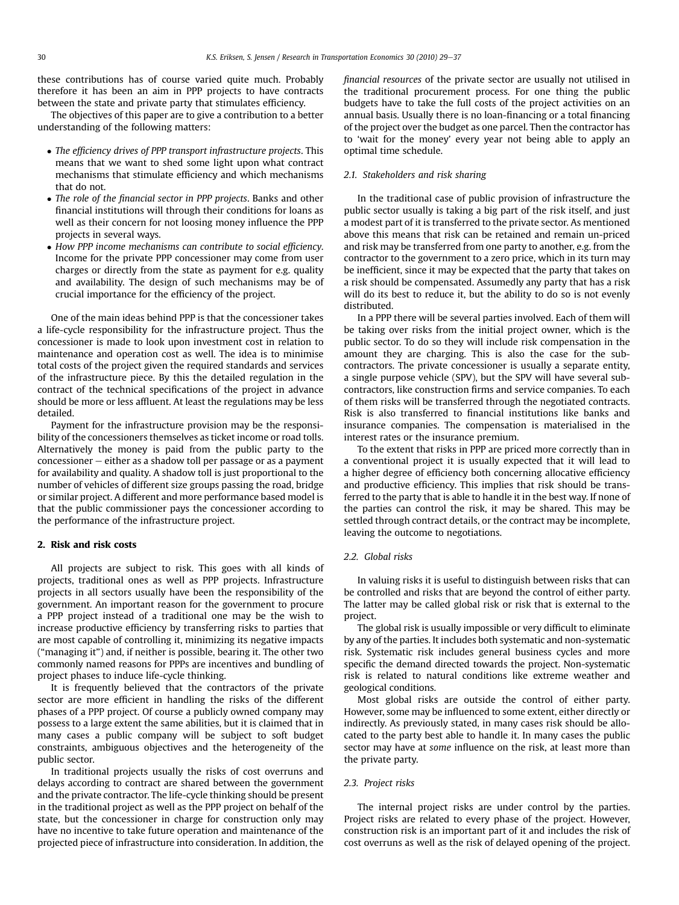these contributions has of course varied quite much. Probably therefore it has been an aim in PPP projects to have contracts between the state and private party that stimulates efficiency.

The objectives of this paper are to give a contribution to a better understanding of the following matters:

- The efficiency drives of PPP transport infrastructure projects. This means that we want to shed some light upon what contract mechanisms that stimulate efficiency and which mechanisms that do not.
- The role of the financial sector in PPP projects. Banks and other financial institutions will through their conditions for loans as well as their concern for not loosing money influence the PPP projects in several ways.
- How PPP income mechanisms can contribute to social efficiency. Income for the private PPP concessioner may come from user charges or directly from the state as payment for e.g. quality and availability. The design of such mechanisms may be of crucial importance for the efficiency of the project.

One of the main ideas behind PPP is that the concessioner takes a life-cycle responsibility for the infrastructure project. Thus the concessioner is made to look upon investment cost in relation to maintenance and operation cost as well. The idea is to minimise total costs of the project given the required standards and services of the infrastructure piece. By this the detailed regulation in the contract of the technical specifications of the project in advance should be more or less affluent. At least the regulations may be less detailed.

Payment for the infrastructure provision may be the responsibility of the concessioners themselves as ticket income or road tolls. Alternatively the money is paid from the public party to the  $concessioner - either as a shadow toll per passage or as a payment$ for availability and quality. A shadow toll is just proportional to the number of vehicles of different size groups passing the road, bridge or similar project. A different and more performance based model is that the public commissioner pays the concessioner according to the performance of the infrastructure project.

#### 2. Risk and risk costs

All projects are subject to risk. This goes with all kinds of projects, traditional ones as well as PPP projects. Infrastructure projects in all sectors usually have been the responsibility of the government. An important reason for the government to procure a PPP project instead of a traditional one may be the wish to increase productive efficiency by transferring risks to parties that are most capable of controlling it, minimizing its negative impacts ("managing it") and, if neither is possible, bearing it. The other two commonly named reasons for PPPs are incentives and bundling of project phases to induce life-cycle thinking.

It is frequently believed that the contractors of the private sector are more efficient in handling the risks of the different phases of a PPP project. Of course a publicly owned company may possess to a large extent the same abilities, but it is claimed that in many cases a public company will be subject to soft budget constraints, ambiguous objectives and the heterogeneity of the public sector.

In traditional projects usually the risks of cost overruns and delays according to contract are shared between the government and the private contractor. The life-cycle thinking should be present in the traditional project as well as the PPP project on behalf of the state, but the concessioner in charge for construction only may have no incentive to take future operation and maintenance of the projected piece of infrastructure into consideration. In addition, the financial resources of the private sector are usually not utilised in the traditional procurement process. For one thing the public budgets have to take the full costs of the project activities on an annual basis. Usually there is no loan-financing or a total financing of the project over the budget as one parcel. Then the contractor has to 'wait for the money' every year not being able to apply an optimal time schedule.

#### 2.1. Stakeholders and risk sharing

In the traditional case of public provision of infrastructure the public sector usually is taking a big part of the risk itself, and just a modest part of it is transferred to the private sector. As mentioned above this means that risk can be retained and remain un-priced and risk may be transferred from one party to another, e.g. from the contractor to the government to a zero price, which in its turn may be inefficient, since it may be expected that the party that takes on a risk should be compensated. Assumedly any party that has a risk will do its best to reduce it, but the ability to do so is not evenly distributed.

In a PPP there will be several parties involved. Each of them will be taking over risks from the initial project owner, which is the public sector. To do so they will include risk compensation in the amount they are charging. This is also the case for the subcontractors. The private concessioner is usually a separate entity, a single purpose vehicle (SPV), but the SPV will have several subcontractors, like construction firms and service companies. To each of them risks will be transferred through the negotiated contracts. Risk is also transferred to financial institutions like banks and insurance companies. The compensation is materialised in the interest rates or the insurance premium.

To the extent that risks in PPP are priced more correctly than in a conventional project it is usually expected that it will lead to a higher degree of efficiency both concerning allocative efficiency and productive efficiency. This implies that risk should be transferred to the party that is able to handle it in the best way. If none of the parties can control the risk, it may be shared. This may be settled through contract details, or the contract may be incomplete, leaving the outcome to negotiations.

#### 2.2. Global risks

In valuing risks it is useful to distinguish between risks that can be controlled and risks that are beyond the control of either party. The latter may be called global risk or risk that is external to the project.

The global risk is usually impossible or very difficult to eliminate by any of the parties. It includes both systematic and non-systematic risk. Systematic risk includes general business cycles and more specific the demand directed towards the project. Non-systematic risk is related to natural conditions like extreme weather and geological conditions.

Most global risks are outside the control of either party. However, some may be influenced to some extent, either directly or indirectly. As previously stated, in many cases risk should be allocated to the party best able to handle it. In many cases the public sector may have at some influence on the risk, at least more than the private party.

#### 2.3. Project risks

The internal project risks are under control by the parties. Project risks are related to every phase of the project. However, construction risk is an important part of it and includes the risk of cost overruns as well as the risk of delayed opening of the project.